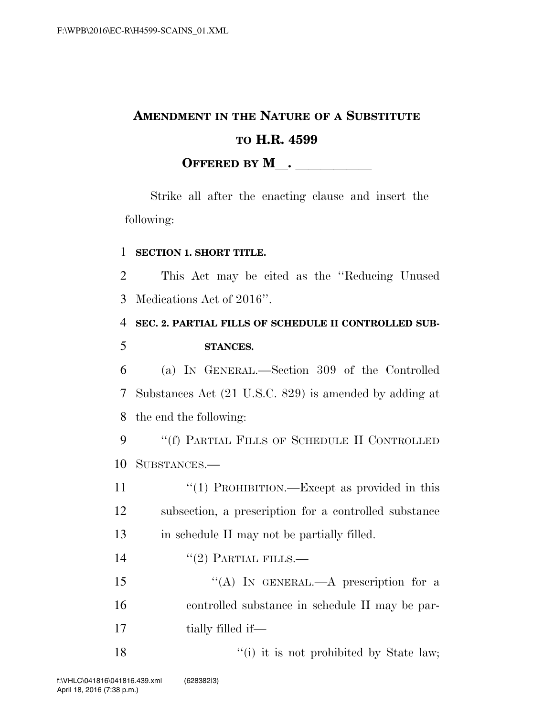## **AMENDMENT IN THE NATURE OF A SUBSTITUTE TO H.R. 4599 OFFERED BY M**.

Strike all after the enacting clause and insert the following:

## 1 **SECTION 1. SHORT TITLE.**

2 This Act may be cited as the ''Reducing Unused 3 Medications Act of 2016''.

## 4 **SEC. 2. PARTIAL FILLS OF SCHEDULE II CONTROLLED SUB-**5 **STANCES.**

6 (a) IN GENERAL.—Section 309 of the Controlled 7 Substances Act (21 U.S.C. 829) is amended by adding at 8 the end the following:

9 "(f) PARTIAL FILLS OF SCHEDULE II CONTROLLED 10 SUBSTANCES.—

11 ''(1) PROHIBITION.—Except as provided in this 12 subsection, a prescription for a controlled substance 13 in schedule II may not be partially filled.

14  $((2)$  PARTIAL FILLS.—

15 "(A) IN GENERAL.—A prescription for a 16 controlled substance in schedule II may be par-17 tially filled if—

18 ''(i) it is not prohibited by State law;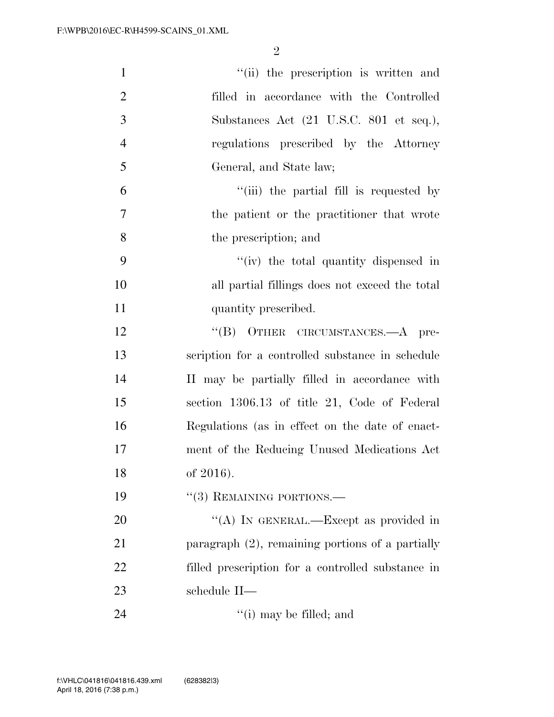| $\mathbf{1}$   | "(ii) the prescription is written and               |
|----------------|-----------------------------------------------------|
| $\overline{2}$ | filled in accordance with the Controlled            |
| 3              | Substances Act (21 U.S.C. 801 et seq.),             |
| $\overline{4}$ | regulations prescribed by the Attorney              |
| 5              | General, and State law;                             |
| 6              | "(iii) the partial fill is requested by             |
| 7              | the patient or the practitioner that wrote          |
| 8              | the prescription; and                               |
| 9              | "(iv) the total quantity dispensed in               |
| 10             | all partial fillings does not exceed the total      |
| 11             | quantity prescribed.                                |
| 12             | "(B) OTHER CIRCUMSTANCES.—A pre-                    |
| 13             | scription for a controlled substance in schedule    |
| 14             | II may be partially filled in accordance with       |
| 15             | section 1306.13 of title 21, Code of Federal        |
| 16             | Regulations (as in effect on the date of enact-     |
| 17             | ment of the Reducing Unused Medications Act         |
| 18             | of 2016).                                           |
| 19             | $``(3)$ REMAINING PORTIONS.—                        |
| 20             | "(A) IN GENERAL.—Except as provided in              |
| 21             | paragraph $(2)$ , remaining portions of a partially |
| 22             | filled prescription for a controlled substance in   |
| 23             | schedule II-                                        |
| 24             | $f'(i)$ may be filled; and                          |